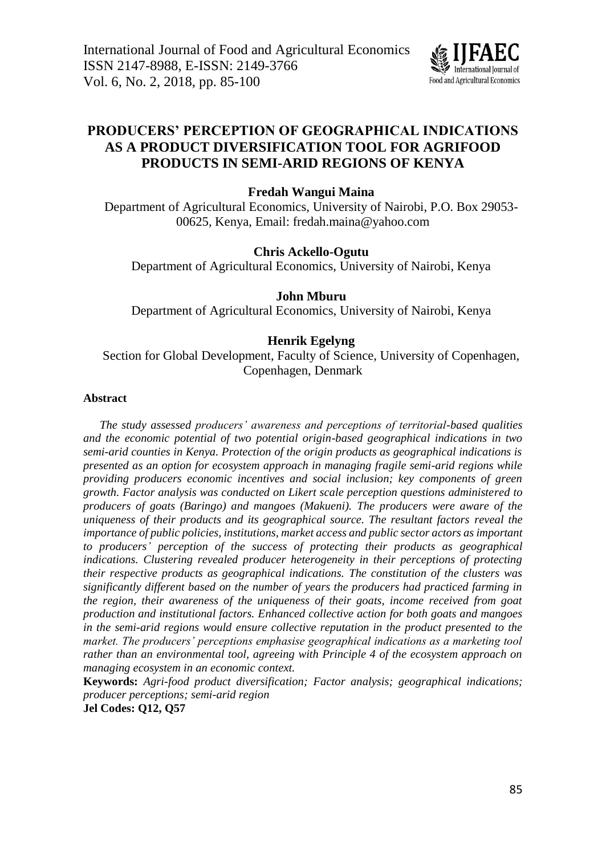

# **PRODUCERS' PERCEPTION OF GEOGRAPHICAL INDICATIONS AS A PRODUCT DIVERSIFICATION TOOL FOR AGRIFOOD PRODUCTS IN SEMI-ARID REGIONS OF KENYA**

# **Fredah Wangui Maina**

Department of Agricultural Economics, University of Nairobi, P.O. Box 29053- 00625, Kenya, Email: fredah.maina@yahoo.com

# **Chris Ackello-Ogutu**

Department of Agricultural Economics, University of Nairobi, Kenya

# **John Mburu**

Department of Agricultural Economics, University of Nairobi, Kenya

# **Henrik Egelyng**

Section for Global Development, Faculty of Science, University of Copenhagen, Copenhagen, Denmark

# **Abstract**

*The study assessed producers' awareness and perceptions of territorial-based qualities and the economic potential of two potential origin-based geographical indications in two semi-arid counties in Kenya. Protection of the origin products as geographical indications is presented as an option for ecosystem approach in managing fragile semi-arid regions while providing producers economic incentives and social inclusion; key components of green growth. Factor analysis was conducted on Likert scale perception questions administered to producers of goats (Baringo) and mangoes (Makueni). The producers were aware of the uniqueness of their products and its geographical source. The resultant factors reveal the importance of public policies, institutions, market access and public sector actors as important to producers' perception of the success of protecting their products as geographical indications. Clustering revealed producer heterogeneity in their perceptions of protecting their respective products as geographical indications. The constitution of the clusters was significantly different based on the number of years the producers had practiced farming in the region, their awareness of the uniqueness of their goats, income received from goat production and institutional factors. Enhanced collective action for both goats and mangoes in the semi-arid regions would ensure collective reputation in the product presented to the market. The producers' perceptions emphasise geographical indications as a marketing tool rather than an environmental tool, agreeing with Principle 4 of the ecosystem approach on managing ecosystem in an economic context.*

**Keywords:** *Agri-food product diversification; Factor analysis; geographical indications; producer perceptions; semi-arid region*

**Jel Codes: Q12, Q57**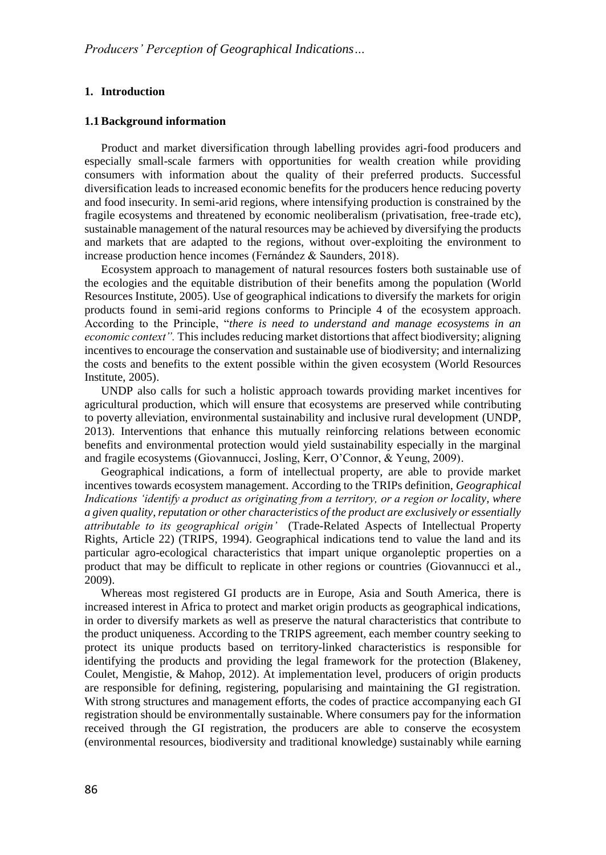# **1. Introduction**

#### **1.1Background information**

Product and market diversification through labelling provides agri-food producers and especially small-scale farmers with opportunities for wealth creation while providing consumers with information about the quality of their preferred products. Successful diversification leads to increased economic benefits for the producers hence reducing poverty and food insecurity. In semi-arid regions, where intensifying production is constrained by the fragile ecosystems and threatened by economic neoliberalism (privatisation, free-trade etc), sustainable management of the natural resources may be achieved by diversifying the products and markets that are adapted to the regions, without over-exploiting the environment to increase production hence incomes (Fernández & Saunders, 2018).

Ecosystem approach to management of natural resources fosters both sustainable use of the ecologies and the equitable distribution of their benefits among the population (World Resources Institute, 2005). Use of geographical indications to diversify the markets for origin products found in semi-arid regions conforms to Principle 4 of the ecosystem approach. According to the Principle, "*there is need to understand and manage ecosystems in an economic context"*. This includes reducing market distortions that affect biodiversity; aligning incentives to encourage the conservation and sustainable use of biodiversity; and internalizing the costs and benefits to the extent possible within the given ecosystem (World Resources Institute, 2005).

UNDP also calls for such a holistic approach towards providing market incentives for agricultural production, which will ensure that ecosystems are preserved while contributing to poverty alleviation, environmental sustainability and inclusive rural development (UNDP, 2013). Interventions that enhance this mutually reinforcing relations between economic benefits and environmental protection would yield sustainability especially in the marginal and fragile ecosystems (Giovannucci, Josling, Kerr, O'Connor, & Yeung, 2009).

Geographical indications, a form of intellectual property, are able to provide market incentives towards ecosystem management. According to the TRIPs definition, *Geographical Indications 'identify a product as originating from a territory, or a region or locality, where a given quality, reputation or other characteristics of the product are exclusively or essentially attributable to its geographical origin'* (Trade-Related Aspects of Intellectual Property Rights, Article 22) (TRIPS, 1994). Geographical indications tend to value the land and its particular agro-ecological characteristics that impart unique organoleptic properties on a product that may be difficult to replicate in other regions or countries (Giovannucci et al., 2009).

Whereas most registered GI products are in Europe, Asia and South America, there is increased interest in Africa to protect and market origin products as geographical indications, in order to diversify markets as well as preserve the natural characteristics that contribute to the product uniqueness. According to the TRIPS agreement, each member country seeking to protect its unique products based on territory-linked characteristics is responsible for identifying the products and providing the legal framework for the protection (Blakeney, Coulet, Mengistie, & Mahop, 2012). At implementation level, producers of origin products are responsible for defining, registering, popularising and maintaining the GI registration. With strong structures and management efforts, the codes of practice accompanying each GI registration should be environmentally sustainable. Where consumers pay for the information received through the GI registration, the producers are able to conserve the ecosystem (environmental resources, biodiversity and traditional knowledge) sustainably while earning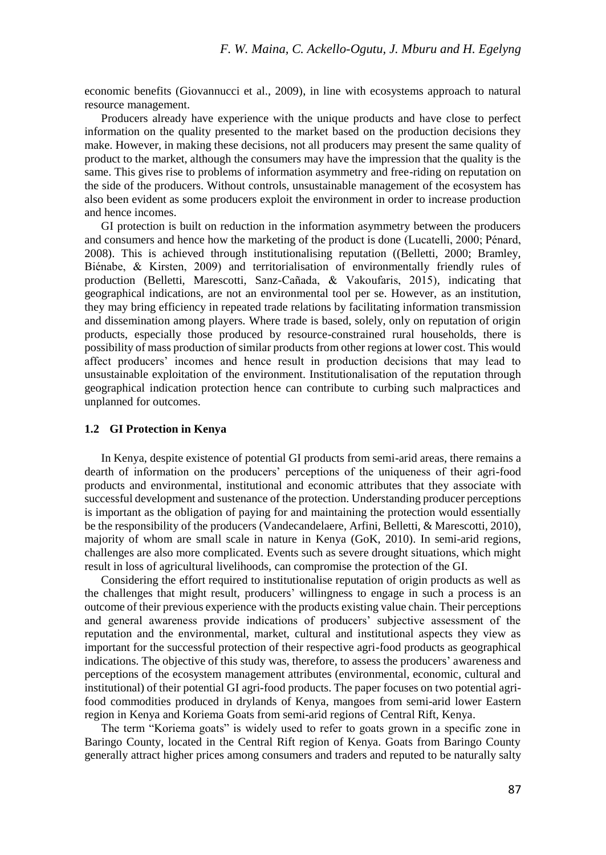economic benefits (Giovannucci et al., 2009), in line with ecosystems approach to natural resource management.

Producers already have experience with the unique products and have close to perfect information on the quality presented to the market based on the production decisions they make. However, in making these decisions, not all producers may present the same quality of product to the market, although the consumers may have the impression that the quality is the same. This gives rise to problems of information asymmetry and free-riding on reputation on the side of the producers. Without controls, unsustainable management of the ecosystem has also been evident as some producers exploit the environment in order to increase production and hence incomes.

GI protection is built on reduction in the information asymmetry between the producers and consumers and hence how the marketing of the product is done (Lucatelli, 2000; Pénard, 2008). This is achieved through institutionalising reputation ((Belletti, 2000; Bramley, Biénabe, & Kirsten, 2009) and territorialisation of environmentally friendly rules of production (Belletti, Marescotti, Sanz-Cañada, & Vakoufaris, 2015), indicating that geographical indications, are not an environmental tool per se. However, as an institution, they may bring efficiency in repeated trade relations by facilitating information transmission and dissemination among players. Where trade is based, solely, only on reputation of origin products, especially those produced by resource-constrained rural households, there is possibility of mass production of similar products from other regions at lower cost. This would affect producers' incomes and hence result in production decisions that may lead to unsustainable exploitation of the environment. Institutionalisation of the reputation through geographical indication protection hence can contribute to curbing such malpractices and unplanned for outcomes.

### **1.2 GI Protection in Kenya**

In Kenya, despite existence of potential GI products from semi-arid areas, there remains a dearth of information on the producers' perceptions of the uniqueness of their agri-food products and environmental, institutional and economic attributes that they associate with successful development and sustenance of the protection. Understanding producer perceptions is important as the obligation of paying for and maintaining the protection would essentially be the responsibility of the producers (Vandecandelaere, Arfini, Belletti, & Marescotti, 2010), majority of whom are small scale in nature in Kenya (GoK, 2010). In semi-arid regions, challenges are also more complicated. Events such as severe drought situations, which might result in loss of agricultural livelihoods, can compromise the protection of the GI.

Considering the effort required to institutionalise reputation of origin products as well as the challenges that might result, producers' willingness to engage in such a process is an outcome of their previous experience with the products existing value chain. Their perceptions and general awareness provide indications of producers' subjective assessment of the reputation and the environmental, market, cultural and institutional aspects they view as important for the successful protection of their respective agri-food products as geographical indications. The objective of this study was, therefore, to assess the producers' awareness and perceptions of the ecosystem management attributes (environmental, economic, cultural and institutional) of their potential GI agri-food products. The paper focuses on two potential agrifood commodities produced in drylands of Kenya, mangoes from semi-arid lower Eastern region in Kenya and Koriema Goats from semi-arid regions of Central Rift, Kenya.

The term "Koriema goats" is widely used to refer to goats grown in a specific zone in Baringo County, located in the Central Rift region of Kenya. Goats from Baringo County generally attract higher prices among consumers and traders and reputed to be naturally salty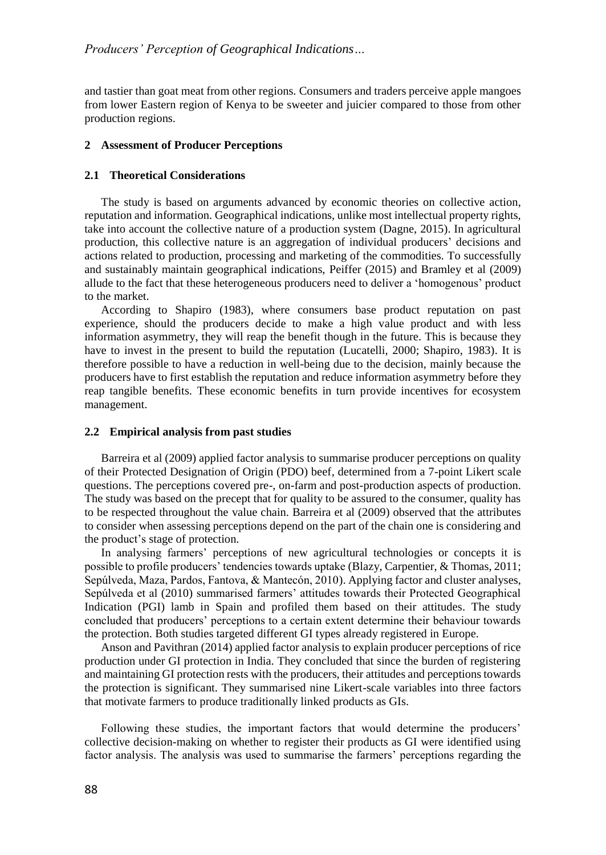and tastier than goat meat from other regions. Consumers and traders perceive apple mangoes from lower Eastern region of Kenya to be sweeter and juicier compared to those from other production regions.

### **2 Assessment of Producer Perceptions**

# **2.1 Theoretical Considerations**

The study is based on arguments advanced by economic theories on collective action, reputation and information. Geographical indications, unlike most intellectual property rights, take into account the collective nature of a production system (Dagne, 2015). In agricultural production, this collective nature is an aggregation of individual producers' decisions and actions related to production, processing and marketing of the commodities. To successfully and sustainably maintain geographical indications, Peiffer (2015) and Bramley et al (2009) allude to the fact that these heterogeneous producers need to deliver a 'homogenous' product to the market.

According to Shapiro (1983), where consumers base product reputation on past experience, should the producers decide to make a high value product and with less information asymmetry, they will reap the benefit though in the future. This is because they have to invest in the present to build the reputation (Lucatelli, 2000; Shapiro, 1983). It is therefore possible to have a reduction in well-being due to the decision, mainly because the producers have to first establish the reputation and reduce information asymmetry before they reap tangible benefits. These economic benefits in turn provide incentives for ecosystem management.

#### **2.2 Empirical analysis from past studies**

Barreira et al (2009) applied factor analysis to summarise producer perceptions on quality of their Protected Designation of Origin (PDO) beef, determined from a 7-point Likert scale questions. The perceptions covered pre-, on-farm and post-production aspects of production. The study was based on the precept that for quality to be assured to the consumer, quality has to be respected throughout the value chain. Barreira et al (2009) observed that the attributes to consider when assessing perceptions depend on the part of the chain one is considering and the product's stage of protection.

In analysing farmers' perceptions of new agricultural technologies or concepts it is possible to profile producers' tendencies towards uptake (Blazy, Carpentier, & Thomas, 2011; Sepúlveda, Maza, Pardos, Fantova, & Mantecón, 2010). Applying factor and cluster analyses, Sepúlveda et al (2010) summarised farmers' attitudes towards their Protected Geographical Indication (PGI) lamb in Spain and profiled them based on their attitudes. The study concluded that producers' perceptions to a certain extent determine their behaviour towards the protection. Both studies targeted different GI types already registered in Europe.

Anson and Pavithran (2014) applied factor analysis to explain producer perceptions of rice production under GI protection in India. They concluded that since the burden of registering and maintaining GI protection rests with the producers, their attitudes and perceptions towards the protection is significant. They summarised nine Likert-scale variables into three factors that motivate farmers to produce traditionally linked products as GIs.

Following these studies, the important factors that would determine the producers' collective decision-making on whether to register their products as GI were identified using factor analysis. The analysis was used to summarise the farmers' perceptions regarding the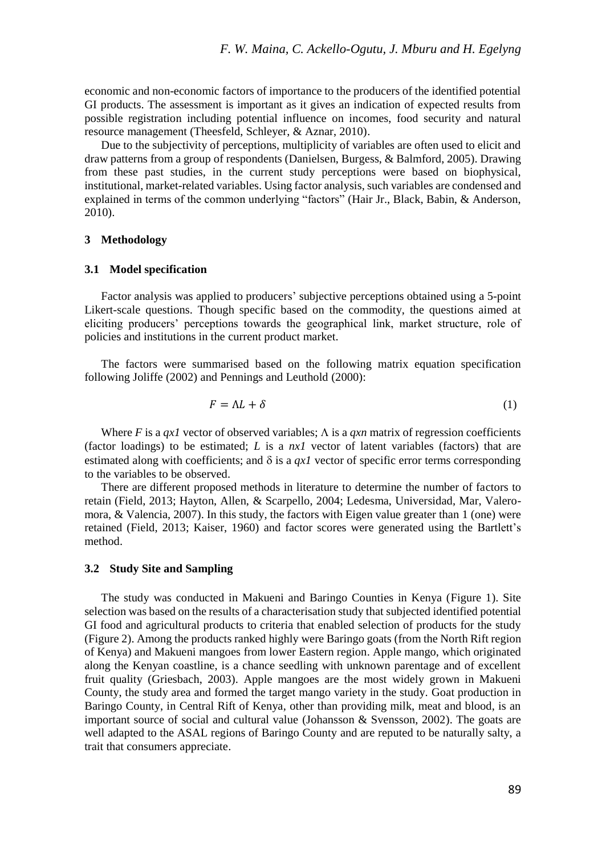economic and non-economic factors of importance to the producers of the identified potential GI products. The assessment is important as it gives an indication of expected results from possible registration including potential influence on incomes, food security and natural resource management (Theesfeld, Schleyer, & Aznar, 2010).

Due to the subjectivity of perceptions, multiplicity of variables are often used to elicit and draw patterns from a group of respondents (Danielsen, Burgess, & Balmford, 2005). Drawing from these past studies, in the current study perceptions were based on biophysical, institutional, market-related variables. Using factor analysis, such variables are condensed and explained in terms of the common underlying "factors" (Hair Jr., Black, Babin, & Anderson, 2010).

# **3 Methodology**

#### **3.1 Model specification**

Factor analysis was applied to producers' subjective perceptions obtained using a 5-point Likert-scale questions. Though specific based on the commodity, the questions aimed at eliciting producers' perceptions towards the geographical link, market structure, role of policies and institutions in the current product market.

The factors were summarised based on the following matrix equation specification following Joliffe (2002) and Pennings and Leuthold (2000):

$$
F = \Lambda L + \delta \tag{1}
$$

Where *F* is a *qx1* vector of observed variables;  $\Lambda$  is a *qxn* matrix of regression coefficients (factor loadings) to be estimated; *L* is a *nx1* vector of latent variables (factors) that are estimated along with coefficients; and  $\delta$  is a *qx1* vector of specific error terms corresponding to the variables to be observed.

There are different proposed methods in literature to determine the number of factors to retain (Field, 2013; Hayton, Allen, & Scarpello, 2004; Ledesma, Universidad, Mar, Valeromora, & Valencia, 2007). In this study, the factors with Eigen value greater than 1 (one) were retained (Field, 2013; Kaiser, 1960) and factor scores were generated using the Bartlett's method.

### **3.2 Study Site and Sampling**

The study was conducted in Makueni and Baringo Counties in Kenya (Figure 1). Site selection was based on the results of a characterisation study that subjected identified potential GI food and agricultural products to criteria that enabled selection of products for the study (Figure 2). Among the products ranked highly were Baringo goats (from the North Rift region of Kenya) and Makueni mangoes from lower Eastern region. Apple mango, which originated along the Kenyan coastline, is a chance seedling with unknown parentage and of excellent fruit quality (Griesbach, 2003). Apple mangoes are the most widely grown in Makueni County, the study area and formed the target mango variety in the study. Goat production in Baringo County, in Central Rift of Kenya, other than providing milk, meat and blood, is an important source of social and cultural value (Johansson  $\&$  Svensson, 2002). The goats are well adapted to the ASAL regions of Baringo County and are reputed to be naturally salty, a trait that consumers appreciate.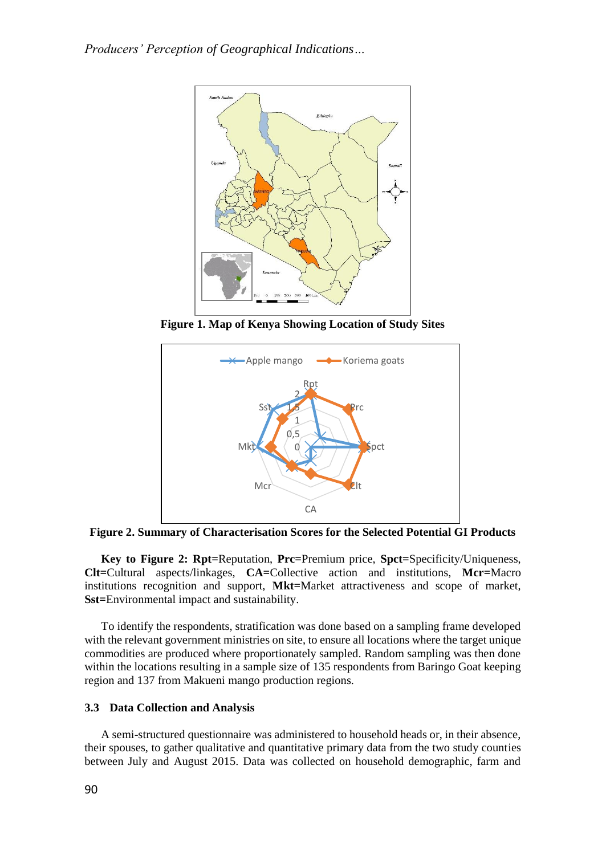

**Figure 1. Map of Kenya Showing Location of Study Sites**



**Figure 2. Summary of Characterisation Scores for the Selected Potential GI Products**

**Key to Figure 2: Rpt=**Reputation, **Prc=**Premium price, **Spct=**Specificity/Uniqueness, **Clt=**Cultural aspects/linkages, **CA=**Collective action and institutions, **Mcr=**Macro institutions recognition and support, **Mkt=**Market attractiveness and scope of market, **Sst=**Environmental impact and sustainability.

To identify the respondents, stratification was done based on a sampling frame developed with the relevant government ministries on site, to ensure all locations where the target unique commodities are produced where proportionately sampled. Random sampling was then done within the locations resulting in a sample size of 135 respondents from Baringo Goat keeping region and 137 from Makueni mango production regions.

# **3.3 Data Collection and Analysis**

A semi-structured questionnaire was administered to household heads or, in their absence, their spouses, to gather qualitative and quantitative primary data from the two study counties between July and August 2015. Data was collected on household demographic, farm and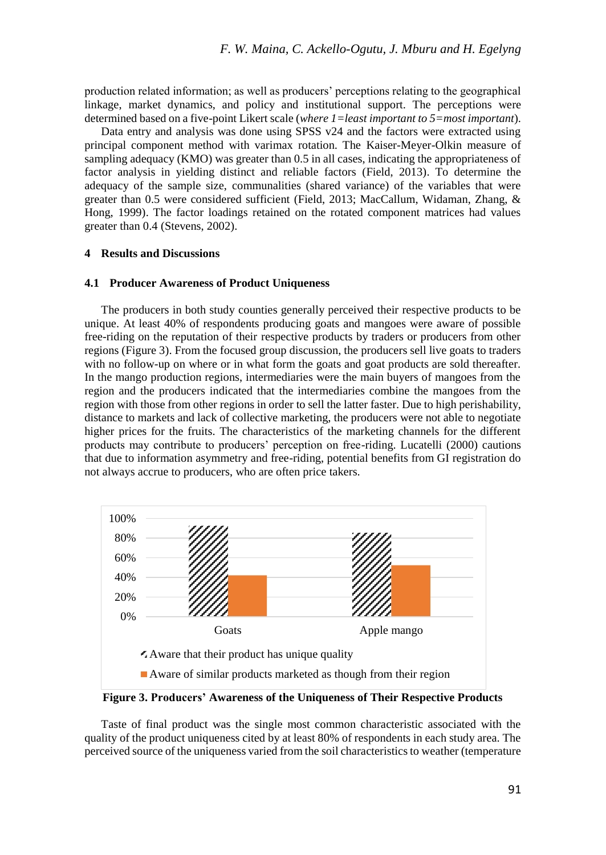production related information; as well as producers' perceptions relating to the geographical linkage, market dynamics, and policy and institutional support. The perceptions were determined based on a five-point Likert scale (*where 1=least important to 5=most important*).

Data entry and analysis was done using SPSS v24 and the factors were extracted using principal component method with varimax rotation. The Kaiser-Meyer-Olkin measure of sampling adequacy (KMO) was greater than 0.5 in all cases, indicating the appropriateness of factor analysis in yielding distinct and reliable factors (Field, 2013). To determine the adequacy of the sample size, communalities (shared variance) of the variables that were greater than 0.5 were considered sufficient (Field, 2013; MacCallum, Widaman, Zhang, & Hong, 1999). The factor loadings retained on the rotated component matrices had values greater than 0.4 (Stevens, 2002).

#### **4 Results and Discussions**

#### **4.1 Producer Awareness of Product Uniqueness**

The producers in both study counties generally perceived their respective products to be unique. At least 40% of respondents producing goats and mangoes were aware of possible free-riding on the reputation of their respective products by traders or producers from other regions (Figure 3). From the focused group discussion, the producers sell live goats to traders with no follow-up on where or in what form the goats and goat products are sold thereafter. In the mango production regions, intermediaries were the main buyers of mangoes from the region and the producers indicated that the intermediaries combine the mangoes from the region with those from other regions in order to sell the latter faster. Due to high perishability, distance to markets and lack of collective marketing, the producers were not able to negotiate higher prices for the fruits. The characteristics of the marketing channels for the different products may contribute to producers' perception on free-riding. Lucatelli (2000) cautions that due to information asymmetry and free-riding, potential benefits from GI registration do not always accrue to producers, who are often price takers.



**Figure 3. Producers' Awareness of the Uniqueness of Their Respective Products**

Taste of final product was the single most common characteristic associated with the quality of the product uniqueness cited by at least 80% of respondents in each study area. The perceived source of the uniqueness varied from the soil characteristics to weather (temperature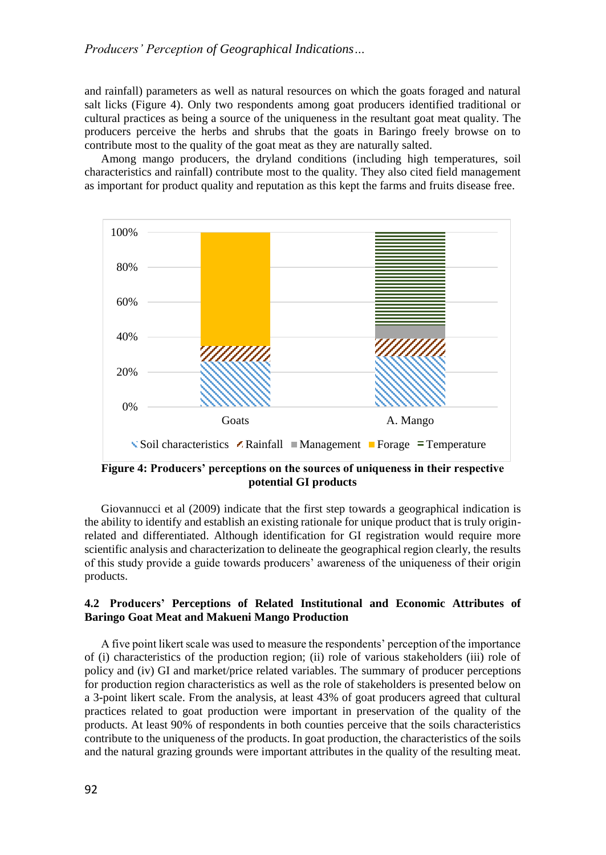# *Producers' Perception of Geographical Indications…*

and rainfall) parameters as well as natural resources on which the goats foraged and natural salt licks (Figure 4). Only two respondents among goat producers identified traditional or cultural practices as being a source of the uniqueness in the resultant goat meat quality. The producers perceive the herbs and shrubs that the goats in Baringo freely browse on to contribute most to the quality of the goat meat as they are naturally salted.

Among mango producers, the dryland conditions (including high temperatures, soil characteristics and rainfall) contribute most to the quality. They also cited field management as important for product quality and reputation as this kept the farms and fruits disease free.



**Figure 4: Producers' perceptions on the sources of uniqueness in their respective potential GI products**

Giovannucci et al (2009) indicate that the first step towards a geographical indication is the ability to identify and establish an existing rationale for unique product that is truly originrelated and differentiated. Although identification for GI registration would require more scientific analysis and characterization to delineate the geographical region clearly, the results of this study provide a guide towards producers' awareness of the uniqueness of their origin products.

# **4.2 Producers' Perceptions of Related Institutional and Economic Attributes of Baringo Goat Meat and Makueni Mango Production**

A five point likert scale was used to measure the respondents' perception of the importance of (i) characteristics of the production region; (ii) role of various stakeholders (iii) role of policy and (iv) GI and market/price related variables. The summary of producer perceptions for production region characteristics as well as the role of stakeholders is presented below on a 3-point likert scale. From the analysis, at least 43% of goat producers agreed that cultural practices related to goat production were important in preservation of the quality of the products. At least 90% of respondents in both counties perceive that the soils characteristics contribute to the uniqueness of the products. In goat production, the characteristics of the soils and the natural grazing grounds were important attributes in the quality of the resulting meat.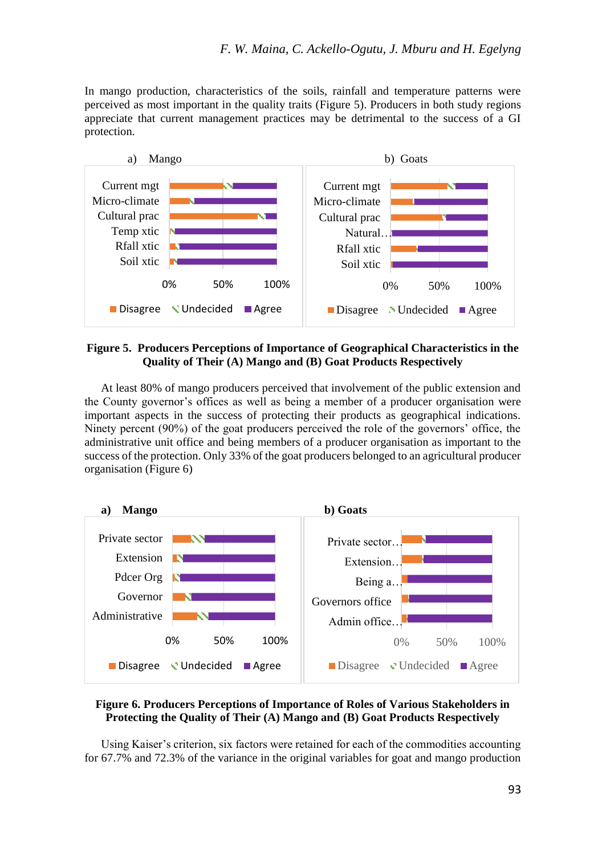In mango production, characteristics of the soils, rainfall and temperature patterns were perceived as most important in the quality traits (Figure 5). Producers in both study regions appreciate that current management practices may be detrimental to the success of a GI protection.



# **Figure 5. Producers Perceptions of Importance of Geographical Characteristics in the Quality of Their (A) Mango and (B) Goat Products Respectively**

At least 80% of mango producers perceived that involvement of the public extension and the County governor's offices as well as being a member of a producer organisation were important aspects in the success of protecting their products as geographical indications. Ninety percent (90%) of the goat producers perceived the role of the governors' office, the administrative unit office and being members of a producer organisation as important to the success of the protection. Only 33% of the goat producers belonged to an agricultural producer organisation (Figure 6)



# **Figure 6. Producers Perceptions of Importance of Roles of Various Stakeholders in Protecting the Quality of Their (A) Mango and (B) Goat Products Respectively**

Using Kaiser's criterion, six factors were retained for each of the commodities accounting for 67.7% and 72.3% of the variance in the original variables for goat and mango production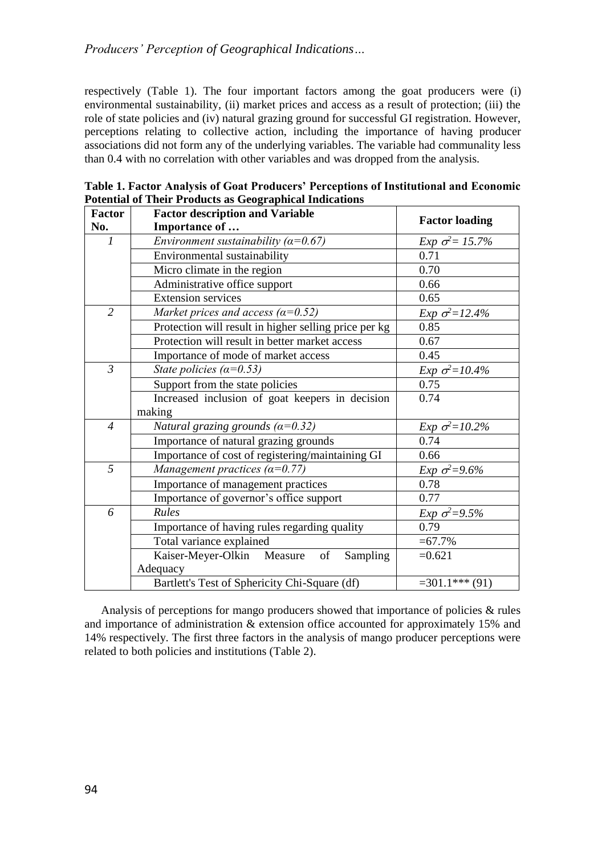respectively (Table 1). The four important factors among the goat producers were (i) environmental sustainability, (ii) market prices and access as a result of protection; (iii) the role of state policies and (iv) natural grazing ground for successful GI registration. However, perceptions relating to collective action, including the importance of having producer associations did not form any of the underlying variables. The variable had communality less than 0.4 with no correlation with other variables and was dropped from the analysis.

| <b>Factor</b>  | otential of Their Troutels as Ocographical Indications<br><b>Factor description and Variable</b> |                         |  |  |
|----------------|--------------------------------------------------------------------------------------------------|-------------------------|--|--|
| No.            | Importance of                                                                                    | <b>Factor loading</b>   |  |  |
| $\mathcal{I}$  | Environment sustainability ( $\alpha$ =0.67)                                                     | Exp $\sigma^2 = 15.7\%$ |  |  |
|                | Environmental sustainability                                                                     | 0.71                    |  |  |
|                | Micro climate in the region                                                                      | 0.70                    |  |  |
|                | Administrative office support                                                                    | 0.66                    |  |  |
|                | <b>Extension services</b>                                                                        | 0.65                    |  |  |
| $\overline{c}$ | Market prices and access ( $\alpha$ =0.52)                                                       | Exp $\sigma^2 = 12.4\%$ |  |  |
|                | Protection will result in higher selling price per kg                                            | 0.85                    |  |  |
|                | Protection will result in better market access                                                   | 0.67                    |  |  |
|                | Importance of mode of market access                                                              | 0.45                    |  |  |
| $\mathfrak{Z}$ | State policies ( $\alpha$ =0.53)                                                                 | Exp $\sigma^2 = 10.4\%$ |  |  |
|                | Support from the state policies                                                                  | 0.75                    |  |  |
|                | Increased inclusion of goat keepers in decision                                                  | 0.74                    |  |  |
|                | making                                                                                           |                         |  |  |
| $\overline{4}$ | Natural grazing grounds ( $\alpha$ =0.32)                                                        | Exp $\sigma^2 = 10.2\%$ |  |  |
|                | Importance of natural grazing grounds                                                            | 0.74                    |  |  |
|                | Importance of cost of registering/maintaining GI                                                 | 0.66                    |  |  |
| 5              | Management practices ( $\alpha$ =0.77)                                                           | Exp $\sigma^2 = 9.6\%$  |  |  |
|                | Importance of management practices                                                               | 0.78                    |  |  |
|                | Importance of governor's office support                                                          | 0.77                    |  |  |
| 6              | <b>Rules</b>                                                                                     | Exp $\sigma^2 = 9.5\%$  |  |  |
|                | Importance of having rules regarding quality                                                     | 0.79                    |  |  |
|                | Total variance explained                                                                         | $= 67.7\%$              |  |  |
|                | Kaiser-Meyer-Olkin Measure<br>Sampling<br>of                                                     | $=0.621$                |  |  |
|                | Adequacy                                                                                         |                         |  |  |
|                | Bartlett's Test of Sphericity Chi-Square (df)                                                    | $=301.1***(91)$         |  |  |

**Table 1. Factor Analysis of Goat Producers' Perceptions of Institutional and Economic Potential of Their Products as Geographical Indications**

Analysis of perceptions for mango producers showed that importance of policies & rules and importance of administration & extension office accounted for approximately 15% and 14% respectively. The first three factors in the analysis of mango producer perceptions were related to both policies and institutions (Table 2).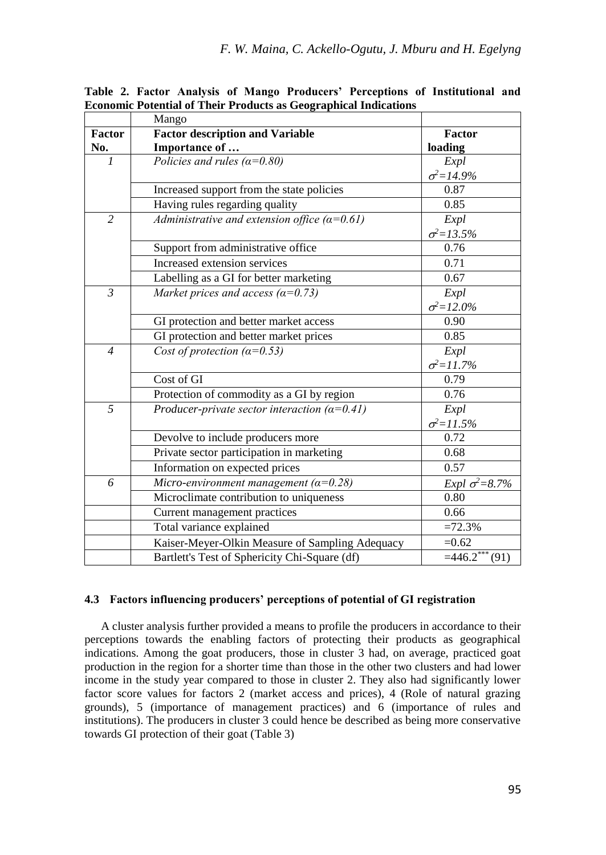|                | Mango                                                 |                         |
|----------------|-------------------------------------------------------|-------------------------|
| Factor         | <b>Factor description and Variable</b>                | Factor                  |
| No.            | Importance of                                         | loading                 |
| $\mathcal{I}$  | Policies and rules ( $\alpha$ =0.80)                  | Expl                    |
|                |                                                       | $\sigma^2 = 14.9\%$     |
|                | Increased support from the state policies             | 0.87                    |
|                | Having rules regarding quality                        | 0.85                    |
| $\overline{2}$ | Administrative and extension office $(a=0.61)$        | Expl                    |
|                |                                                       | $\sigma^2 = 13.5\%$     |
|                | Support from administrative office                    | 0.76                    |
|                | Increased extension services                          | 0.71                    |
|                | Labelling as a GI for better marketing                | 0.67                    |
| $\mathfrak{Z}$ | Market prices and access ( $\alpha$ =0.73)            | Expl                    |
|                |                                                       | $\sigma^2 = 12.0\%$     |
|                | GI protection and better market access                | 0.90                    |
|                | GI protection and better market prices                | 0.85                    |
| $\overline{4}$ | Cost of protection $(\alpha=0.53)$                    | Expl                    |
|                |                                                       | $\sigma^2 = 11.7\%$     |
|                | Cost of GI                                            | 0.79                    |
|                | Protection of commodity as a GI by region             | 0.76                    |
| 5              | Producer-private sector interaction ( $\alpha$ =0.41) | Expl                    |
|                |                                                       | $\sigma^2 = 11.5\%$     |
|                | Devolve to include producers more                     | 0.72                    |
|                | Private sector participation in marketing             | 0.68                    |
|                | Information on expected prices                        | 0.57                    |
| 6              | Micro-environment management ( $\alpha$ =0.28)        | Expl $\sigma^2 = 8.7\%$ |
|                | Microclimate contribution to uniqueness               | 0.80                    |
|                | Current management practices                          | 0.66                    |
|                | Total variance explained                              | $=72.3%$                |
|                | Kaiser-Meyer-Olkin Measure of Sampling Adequacy       | $=0.62$                 |
|                | Bartlett's Test of Sphericity Chi-Square (df)         | $=446.2***(91)$         |

**Table 2. Factor Analysis of Mango Producers' Perceptions of Institutional and Economic Potential of Their Products as Geographical Indications**

# **4.3 Factors influencing producers' perceptions of potential of GI registration**

A cluster analysis further provided a means to profile the producers in accordance to their perceptions towards the enabling factors of protecting their products as geographical indications. Among the goat producers, those in cluster 3 had, on average, practiced goat production in the region for a shorter time than those in the other two clusters and had lower income in the study year compared to those in cluster 2. They also had significantly lower factor score values for factors 2 (market access and prices), 4 (Role of natural grazing grounds), 5 (importance of management practices) and 6 (importance of rules and institutions). The producers in cluster 3 could hence be described as being more conservative towards GI protection of their goat (Table 3)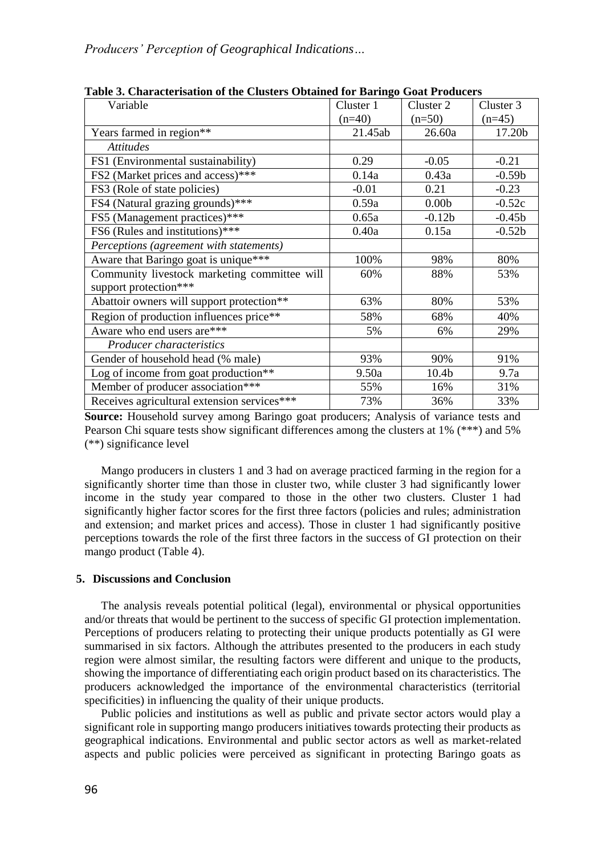| Variable                                     | Cluster 1 | Cluster 2         | Cluster 3 |
|----------------------------------------------|-----------|-------------------|-----------|
|                                              | $(n=40)$  | $(n=50)$          | $(n=45)$  |
| Years farmed in region**                     | 21.45ab   | 26.60a            | 17.20b    |
| <b>Attitudes</b>                             |           |                   |           |
| FS1 (Environmental sustainability)           | 0.29      | $-0.05$           | $-0.21$   |
| FS2 (Market prices and access)***            | 0.14a     | 0.43a             | $-0.59b$  |
| FS3 (Role of state policies)                 | $-0.01$   | 0.21              | $-0.23$   |
| FS4 (Natural grazing grounds)***             | 0.59a     | 0.00 <sub>b</sub> | $-0.52c$  |
| FS5 (Management practices)***                | 0.65a     | $-0.12b$          | $-0.45b$  |
| FS6 (Rules and institutions)***              | 0.40a     | 0.15a             | $-0.52b$  |
| Perceptions (agreement with statements)      |           |                   |           |
| Aware that Baringo goat is unique***         | 100%      | 98%               | 80%       |
| Community livestock marketing committee will | 60%       | 88%               | 53%       |
| support protection***                        |           |                   |           |
| Abattoir owners will support protection**    | 63%       | 80%               | 53%       |
| Region of production influences price**      | 58%       | 68%               | 40%       |
| Aware who end users are***                   | 5%        | 6%                | 29%       |
| Producer characteristics                     |           |                   |           |
| Gender of household head (% male)            | 93%       | 90%               | 91%       |
| Log of income from goat production**         | 9.50a     | 10.4 <sub>b</sub> | 9.7a      |
| Member of producer association***            | 55%       | 16%               | 31%       |
| Receives agricultural extension services***  | 73%       | 36%               | 33%       |

**Table 3. Characterisation of the Clusters Obtained for Baringo Goat Producers**

**Source:** Household survey among Baringo goat producers; Analysis of variance tests and Pearson Chi square tests show significant differences among the clusters at 1% (\*\*\*) and 5% (\*\*) significance level

Mango producers in clusters 1 and 3 had on average practiced farming in the region for a significantly shorter time than those in cluster two, while cluster 3 had significantly lower income in the study year compared to those in the other two clusters. Cluster 1 had significantly higher factor scores for the first three factors (policies and rules; administration and extension; and market prices and access). Those in cluster 1 had significantly positive perceptions towards the role of the first three factors in the success of GI protection on their mango product (Table 4).

# **5. Discussions and Conclusion**

The analysis reveals potential political (legal), environmental or physical opportunities and/or threats that would be pertinent to the success of specific GI protection implementation. Perceptions of producers relating to protecting their unique products potentially as GI were summarised in six factors. Although the attributes presented to the producers in each study region were almost similar, the resulting factors were different and unique to the products, showing the importance of differentiating each origin product based on its characteristics. The producers acknowledged the importance of the environmental characteristics (territorial specificities) in influencing the quality of their unique products.

Public policies and institutions as well as public and private sector actors would play a significant role in supporting mango producers initiatives towards protecting their products as geographical indications. Environmental and public sector actors as well as market-related aspects and public policies were perceived as significant in protecting Baringo goats as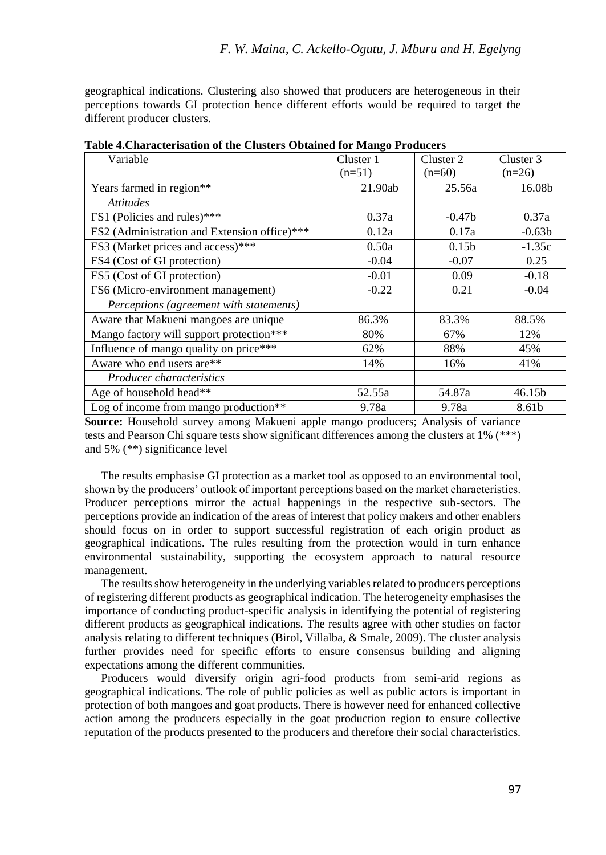geographical indications. Clustering also showed that producers are heterogeneous in their perceptions towards GI protection hence different efforts would be required to target the different producer clusters.

| Variable                                     | Cluster 1 | Cluster <sub>2</sub> | Cluster 3 |
|----------------------------------------------|-----------|----------------------|-----------|
|                                              | $(n=51)$  | $(n=60)$             | $(n=26)$  |
| Years farmed in region**                     | 21.90ab   | 25.56a               | 16.08b    |
| <i>Attitudes</i>                             |           |                      |           |
| FS1 (Policies and rules)***                  | 0.37a     | $-0.47b$             | 0.37a     |
| FS2 (Administration and Extension office)*** | 0.12a     | 0.17a                | $-0.63b$  |
| FS3 (Market prices and access)***            | 0.50a     | 0.15 <sub>b</sub>    | $-1.35c$  |
| FS4 (Cost of GI protection)                  | $-0.04$   | $-0.07$              | 0.25      |
| FS5 (Cost of GI protection)                  | $-0.01$   | 0.09                 | $-0.18$   |
| FS6 (Micro-environment management)           | $-0.22$   | 0.21                 | $-0.04$   |
| Perceptions (agreement with statements)      |           |                      |           |
| Aware that Makueni mangoes are unique        | 86.3%     | 83.3%                | 88.5%     |
| Mango factory will support protection***     | 80%       | 67%                  | 12%       |
| Influence of mango quality on price***       | 62%       | 88%                  | 45%       |
| Aware who end users are**                    | 14%       | 16%                  | 41%       |
| <i>Producer characteristics</i>              |           |                      |           |
| Age of household head**                      | 52.55a    | 54.87a               | 46.15b    |
| Log of income from mango production**        | 9.78a     | 9.78a                | 8.61b     |

**Table 4.Characterisation of the Clusters Obtained for Mango Producers**

**Source:** Household survey among Makueni apple mango producers; Analysis of variance tests and Pearson Chi square tests show significant differences among the clusters at 1% (\*\*\*) and 5% (\*\*) significance level

The results emphasise GI protection as a market tool as opposed to an environmental tool, shown by the producers' outlook of important perceptions based on the market characteristics. Producer perceptions mirror the actual happenings in the respective sub-sectors. The perceptions provide an indication of the areas of interest that policy makers and other enablers should focus on in order to support successful registration of each origin product as geographical indications. The rules resulting from the protection would in turn enhance environmental sustainability, supporting the ecosystem approach to natural resource management.

The results show heterogeneity in the underlying variables related to producers perceptions of registering different products as geographical indication. The heterogeneity emphasises the importance of conducting product-specific analysis in identifying the potential of registering different products as geographical indications. The results agree with other studies on factor analysis relating to different techniques (Birol, Villalba, & Smale, 2009). The cluster analysis further provides need for specific efforts to ensure consensus building and aligning expectations among the different communities.

Producers would diversify origin agri-food products from semi-arid regions as geographical indications. The role of public policies as well as public actors is important in protection of both mangoes and goat products. There is however need for enhanced collective action among the producers especially in the goat production region to ensure collective reputation of the products presented to the producers and therefore their social characteristics.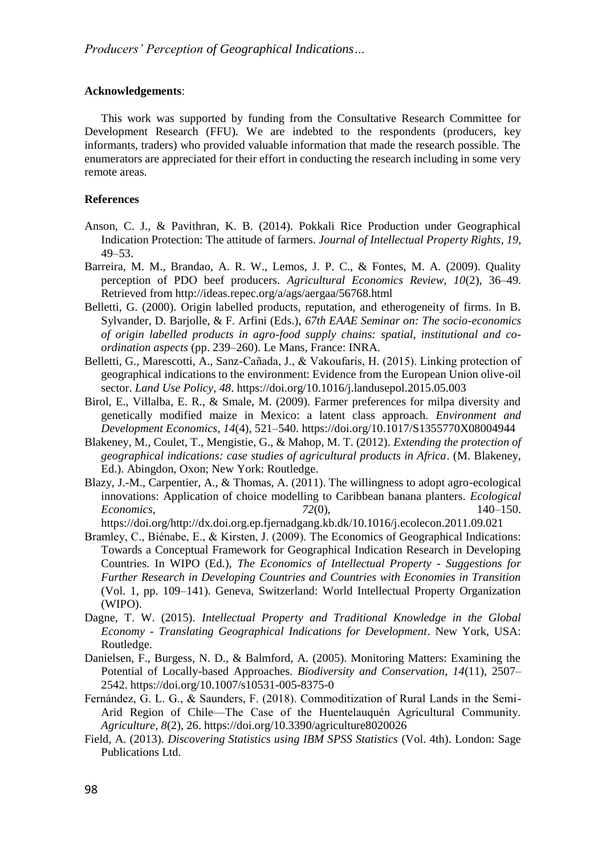# **Acknowledgements**:

This work was supported by funding from the Consultative Research Committee for Development Research (FFU). We are indebted to the respondents (producers, key informants, traders) who provided valuable information that made the research possible. The enumerators are appreciated for their effort in conducting the research including in some very remote areas.

# **References**

- Anson, C. J., & Pavithran, K. B. (2014). Pokkali Rice Production under Geographical Indication Protection: The attitude of farmers. *Journal of Intellectual Property Rights*, *19*, 49–53.
- Barreira, M. M., Brandao, A. R. W., Lemos, J. P. C., & Fontes, M. A. (2009). Quality perception of PDO beef producers. *Agricultural Economics Review*, *10*(2), 36–49. Retrieved from http://ideas.repec.org/a/ags/aergaa/56768.html
- Belletti, G. (2000). Origin labelled products, reputation, and etherogeneity of firms. In B. Sylvander, D. Barjolle, & F. Arfini (Eds.), *67th EAAE Seminar on: The socio-economics of origin labelled products in agro-food supply chains: spatial, institutional and coordination aspects* (pp. 239–260). Le Mans, France: INRA.
- Belletti, G., Marescotti, A., Sanz-Cañada, J., & Vakoufaris, H. (2015). Linking protection of geographical indications to the environment: Evidence from the European Union olive-oil sector. *Land Use Policy*, *48*. https://doi.org/10.1016/j.landusepol.2015.05.003
- Birol, E., Villalba, E. R., & Smale, M. (2009). Farmer preferences for milpa diversity and genetically modified maize in Mexico: a latent class approach. *Environment and Development Economics*, *14*(4), 521–540. https://doi.org/10.1017/S1355770X08004944
- Blakeney, M., Coulet, T., Mengistie, G., & Mahop, M. T. (2012). *Extending the protection of geographical indications: case studies of agricultural products in Africa*. (M. Blakeney, Ed.). Abingdon, Oxon; New York: Routledge.
- Blazy, J.-M., Carpentier, A., & Thomas, A. (2011). The willingness to adopt agro-ecological innovations: Application of choice modelling to Caribbean banana planters. *Ecological Economics*, *72*(0), 140–150.

https://doi.org/http://dx.doi.org.ep.fjernadgang.kb.dk/10.1016/j.ecolecon.2011.09.021

- Bramley, C., Biénabe, E., & Kirsten, J. (2009). The Economics of Geographical Indications: Towards a Conceptual Framework for Geographical Indication Research in Developing Countries. In WIPO (Ed.), *The Economics of Intellectual Property - Suggestions for Further Research in Developing Countries and Countries with Economies in Transition* (Vol. 1, pp. 109–141). Geneva, Switzerland: World Intellectual Property Organization (WIPO).
- Dagne, T. W. (2015). *Intellectual Property and Traditional Knowledge in the Global Economy - Translating Geographical Indications for Development*. New York, USA: Routledge.
- Danielsen, F., Burgess, N. D., & Balmford, A. (2005). Monitoring Matters: Examining the Potential of Locally-based Approaches. *Biodiversity and Conservation*, *14*(11), 2507– 2542. https://doi.org/10.1007/s10531-005-8375-0
- Fernández, G. L. G., & Saunders, F. (2018). Commoditization of Rural Lands in the Semi-Arid Region of Chile—The Case of the Huentelauquén Agricultural Community. *Agriculture*, *8*(2), 26. https://doi.org/10.3390/agriculture8020026
- Field, A. (2013). *Discovering Statistics using IBM SPSS Statistics* (Vol. 4th). London: Sage Publications Ltd.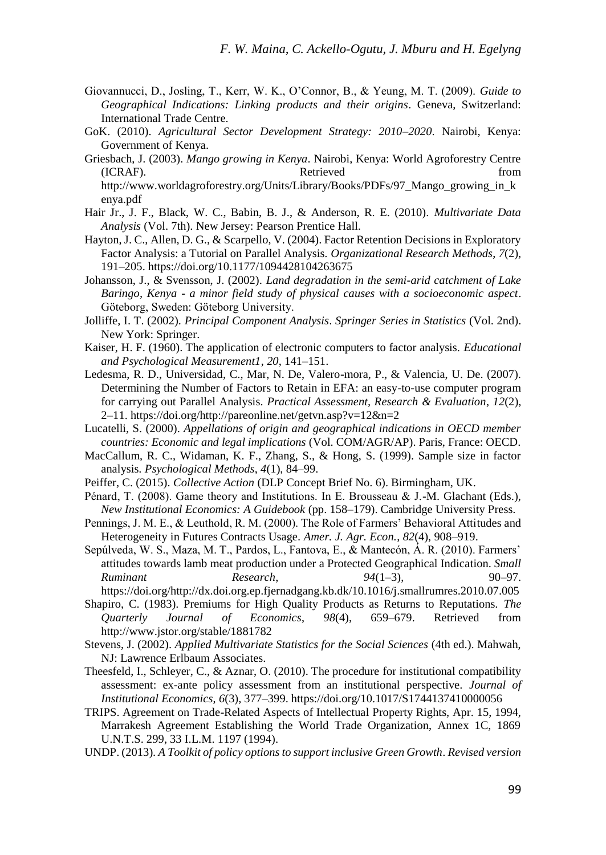- Giovannucci, D., Josling, T., Kerr, W. K., O'Connor, B., & Yeung, M. T. (2009). *Guide to Geographical Indications: Linking products and their origins*. Geneva, Switzerland: International Trade Centre.
- GoK. (2010). *Agricultural Sector Development Strategy: 2010–2020*. Nairobi, Kenya: Government of Kenya.
- Griesbach, J. (2003). *Mango growing in Kenya*. Nairobi, Kenya: World Agroforestry Centre (ICRAF). Retrieved from http://www.worldagroforestry.org/Units/Library/Books/PDFs/97 Mango\_growing\_in\_k enya.pdf
- Hair Jr., J. F., Black, W. C., Babin, B. J., & Anderson, R. E. (2010). *Multivariate Data Analysis* (Vol. 7th). New Jersey: Pearson Prentice Hall.
- Hayton, J. C., Allen, D. G., & Scarpello, V. (2004). Factor Retention Decisions in Exploratory Factor Analysis: a Tutorial on Parallel Analysis. *Organizational Research Methods*, *7*(2), 191–205. https://doi.org/10.1177/1094428104263675
- Johansson, J., & Svensson, J. (2002). *Land degradation in the semi-arid catchment of Lake Baringo, Kenya - a minor field study of physical causes with a socioeconomic aspect*. Göteborg, Sweden: Göteborg University.
- Jolliffe, I. T. (2002). *Principal Component Analysis*. *Springer Series in Statistics* (Vol. 2nd). New York: Springer.
- Kaiser, H. F. (1960). The application of electronic computers to factor analysis. *Educational and Psychological Measurement1*, *20*, 141–151.
- Ledesma, R. D., Universidad, C., Mar, N. De, Valero-mora, P., & Valencia, U. De. (2007). Determining the Number of Factors to Retain in EFA: an easy-to-use computer program for carrying out Parallel Analysis. *Practical Assessment, Research & Evaluation*, *12*(2), 2–11. https://doi.org/http://pareonline.net/getvn.asp?v=12&n=2
- Lucatelli, S. (2000). *Appellations of origin and geographical indications in OECD member countries: Economic and legal implications* (Vol. COM/AGR/AP). Paris, France: OECD.
- MacCallum, R. C., Widaman, K. F., Zhang, S., & Hong, S. (1999). Sample size in factor analysis. *Psychological Methods*, *4*(1), 84–99.
- Peiffer, C. (2015). *Collective Action* (DLP Concept Brief No. 6). Birmingham, UK.
- Pénard, T. (2008). Game theory and Institutions. In E. Brousseau & J.-M. Glachant (Eds.), *New Institutional Economics: A Guidebook* (pp. 158–179). Cambridge University Press.
- Pennings, J. M. E., & Leuthold, R. M. (2000). The Role of Farmers' Behavioral Attitudes and Heterogeneity in Futures Contracts Usage. *Amer. J. Agr. Econ.*, *82*(4), 908–919.
- Sepúlveda, W. S., Maza, M. T., Pardos, L., Fantova, E., & Mantecón, Á. R. (2010). Farmers' attitudes towards lamb meat production under a Protected Geographical Indication. *Small Ruminant Research*, *94*(1–3), 90–97.

https://doi.org/http://dx.doi.org.ep.fjernadgang.kb.dk/10.1016/j.smallrumres.2010.07.005 Shapiro, C. (1983). Premiums for High Quality Products as Returns to Reputations. *The* 

- *Quarterly Journal of Economics*, *98*(4), 659–679. Retrieved from http://www.jstor.org/stable/1881782
- Stevens, J. (2002). *Applied Multivariate Statistics for the Social Sciences* (4th ed.). Mahwah, NJ: Lawrence Erlbaum Associates.
- Theesfeld, I., Schleyer, C., & Aznar, O. (2010). The procedure for institutional compatibility assessment: ex-ante policy assessment from an institutional perspective. *Journal of Institutional Economics*, *6*(3), 377–399. https://doi.org/10.1017/S1744137410000056
- TRIPS. Agreement on Trade-Related Aspects of Intellectual Property Rights, Apr. 15, 1994, Marrakesh Agreement Establishing the World Trade Organization, Annex 1C, 1869 U.N.T.S. 299, 33 I.L.M. 1197 (1994).
- UNDP. (2013). *A Toolkit of policy options to support inclusive Green Growth*. *Revised version*